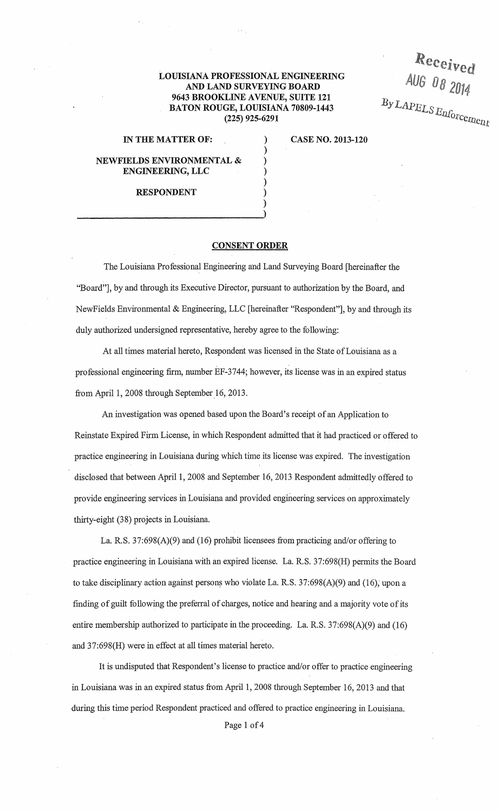## LOUISIANA PROFESSIONAL ENGINEERING AND LAND SURVEYING BOARD 9643 BROOKLINE AVENUE, SUITE 121 BATON ROUGE, LOUISIANA 70809-1443 (225) 925-6291

) ) ) ) ) ) )

## IN THE MATTER OF:

CASE NO. 2013-120

*lleceived* 

AUG Do 2014

 $B$ y *LAPELS Enforcement* 

NEWFIELDS ENVIRONMENTAL & ENGINEERING, LLC

RESPONDENT

## CONSENT ORDER

The Louisiana Professional Engineering and Land Surveying Board [hereinafter the "Board"], by and through its Executive Director, pursuant to authorization by the Board, and NewFields Environmental & Engineering, LLC [hereinafter "Respondent"], by and through its duly authorized undersigned representative, hereby agree to the following:

At all times material hereto, Respondent was licensed in the State of Louisiana as a professional engineering firm, number EF-3744; however, its license was in an expired status from April 1, 2008 through September 16, 2013.

An investigation was opened based upon the Board's receipt of an Application to Reinstate Expired Firm License, in which Respondent admitted that it had practiced or offered to practice engineering in Louisiana during which time its license was expired. The investigation disclosed that between Apri11, 2008 and September 16, 2013 Respondent admittedly offered to provide engineering services in Louisiana and provided engineering services on approximately thirty-eight (38) projects in Louisiana.

La. R.S. 37:698(A)(9) and (16) prohibit licensees from practicing and/or offering to practice engineering in Louisiana with an expired license. La. R.S. 37:698(H) permits the Board to take disciplinary action against persons who violate La. R.S.  $37:698(A)(9)$  and (16), upon a finding of guilt following the preferral of charges, notice and hearing and a majority vote of its entire membership authorized to participate in the proceeding. La. R.S. 37:698(A)(9) and (16) and 37:698(H) were in effect at all times material hereto.

It is undisputed that Respondent's license to practice and/or offer to practice engineering in Louisiana was in an expired status from April 1, 2008 through September 16, 2013 and that during this time period Respondent practiced and offered to practice engineering in Louisiana.

Page 1 of 4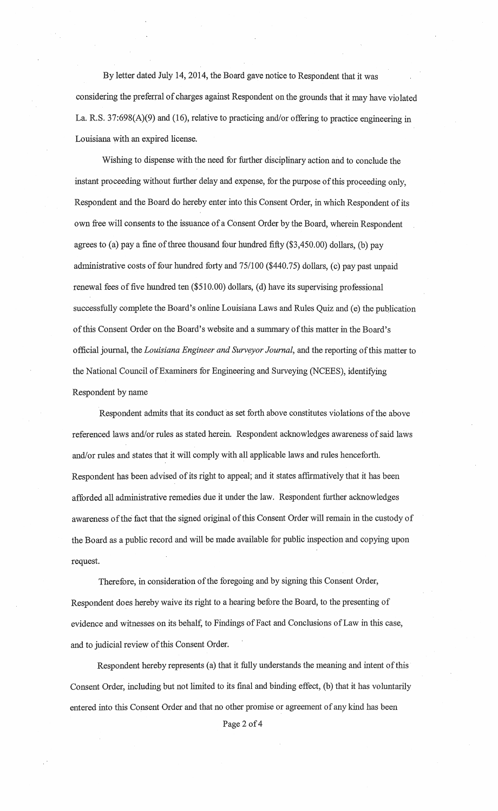By letter dated July 14, 2014, the Board gave notice to Respondent that it was considering the preferral of charges against Respondent on the grounds that it may have violated La. R.S. 37:698(A)(9) and (16), relative to practicing and/or offering to practice engineering in Louisiana with an expired license.

Wishing to dispense with the need for further disciplinary action and to conclude the instant proceeding without further delay and expense, for the purpose of this proceeding only, Respondent and the Board do hereby enter into this Consent Order, in which Respondent of its own free will consents to the issuance of a Consent Order by the Board, wherein Respondent agrees to (a) pay a fine of three thousand four hundred fifty  $(\$3,450.00)$  dollars, (b) pay administrative costs of four hundred forty and 75/100 (\$440.75) dollars, (c) pay past unpaid renewal fees of five hundred ten  $(\$510.00)$  dollars, (d) have its supervising professional successfully complete the Board's online Louisiana Laws and Rules Quiz and (e) the publication ofthis Consent Order on the Board's website and a summary of this matter in the Board's official journal, the *Louisiana Engineer and Surveyor Journal,* and the reporting of this matter to the National Council of Examiners for Engineering and Surveying (NCEES), identifying Respondent by name

Respondent admits that its conduct as set forth above constitutes violations of the above referenced laws and/or rules as stated herein. Respondent acknowledges awareness of said laws and/or rules and states that it will comply with all applicable laws and rules henceforth. Respondent has been advised of its right to appeal; and it states affirmatively that it has been afforded all administrative remedies due it under the law. Respondent further acknowledges awareness of the fact that the signed original of this Consent Order will remain in the custody of the Board as a public record and will be made available for public inspection and copying upon request.

Therefore, in consideration of the foregoing and by signing this Consent Order, Respondent does hereby waive its right to a hearing before the Board, to the presenting of evidence and witnesses on its behalf, to Findings of Fact and Conclusions of Law in this case, and to judicial review of this Consent Order.

Respondent hereby represents (a) that it fully understands the meaning and intent of this· Consent Order, including but not limited to its final and binding effect, (b) that it has voluntarily entered into this Consent Order and that no other promise or agreement of any kind has been Page 2 of 4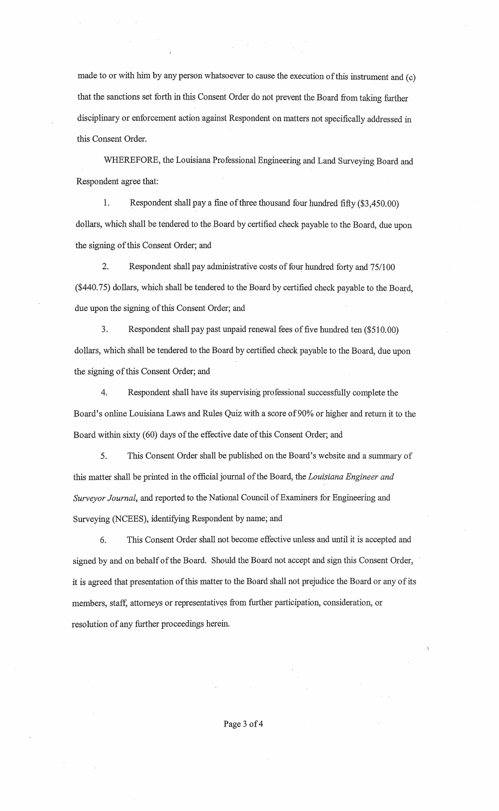made to or with him by any person whatsoever to cause the execution of this instrument and (c) that the sanctions set forth in this Consent Order do not prevent the Board from taking further disciplinary or enforcement action against Respondent on matters not specifically addressed in this Consent Order.

WHEREFORE, the Louisiana Professional Engineering and Land Surveying Board and Respondent agree that:

1. Respondent shall pay a fine of three thousand four hundred fifty (\$3,450.00) dollars, which shall be tendered to the Board by certified check payable to the Board, due upon the signing of this Consent Order; and

2. Respondent shall pay administrative costs of four hundred forty and 75/100 (\$440. 75) dollars, which shall be tendered to the Board by certified check payable to the Board, due upon the signing of this Consent Order; and

3. Respondent shall pay past unpaid renewal fees of five hundred ten (\$510.00) dollars, which shall be tendered to the Board by certified check payable to the Board, due upon the signing of this Consent Order; and

4. Respondent shall have its supervising professional successfully complete the Board's online Louisiana Laws and Rules Quiz with a score of 90% or higher and return it to the Board within sixty (60) days of the effective date of this Consent Order; and

5. This Consent Order shall be published on the Board's website and a summary of this matter shall be printed in the official journal of the Board, the *Louisiana Engineer and Surveyor Journal,* and reported to the National Council of Examiners for Engineering and Surveying (NCEES), identifying Respondent by name; and

6. This Consent Order shall not become effective unless and until it is accepted and signed by and on behalf of the Board. Should the Board not accept and sign this Consent Order, it is agreed that presentation of this matter to the Board shall not prejudice the Board or any of its members, staff, attorneys or representatives from further participation, consideration, or resolution of any further proceedings herein.

Page 3 of 4